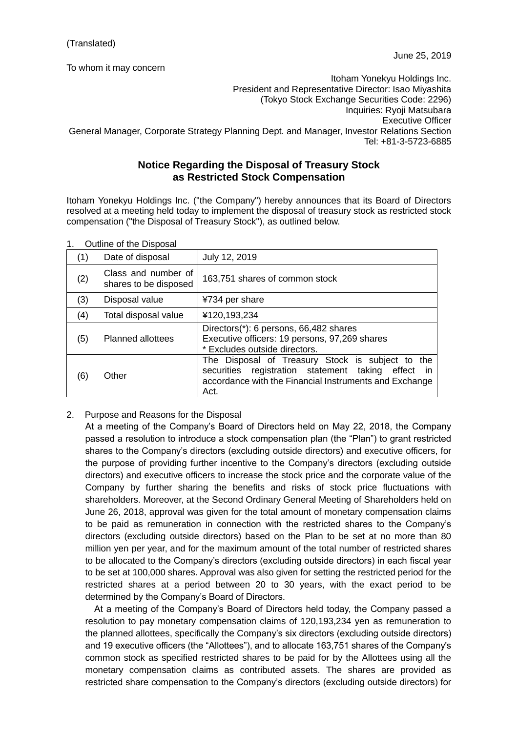To whom it may concern

Itoham Yonekyu Holdings Inc. President and Representative Director: Isao Miyashita (Tokyo Stock Exchange Securities Code: 2296) Inquiries: Ryoji Matsubara Executive Officer General Manager, Corporate Strategy Planning Dept. and Manager, Investor Relations Section Tel: +81-3-5723-6885

## **Notice Regarding the Disposal of Treasury Stock as Restricted Stock Compensation**

Itoham Yonekyu Holdings Inc. ("the Company") hereby announces that its Board of Directors resolved at a meeting held today to implement the disposal of treasury stock as restricted stock compensation ("the Disposal of Treasury Stock"), as outlined below.

| (1) | Date of disposal                             | July 12, 2019                                                                                                                                                            |
|-----|----------------------------------------------|--------------------------------------------------------------------------------------------------------------------------------------------------------------------------|
| (2) | Class and number of<br>shares to be disposed | 163,751 shares of common stock                                                                                                                                           |
| (3) | Disposal value                               | ¥734 per share                                                                                                                                                           |
| (4) | Total disposal value                         | ¥120,193,234                                                                                                                                                             |
| (5) | <b>Planned allottees</b>                     | Directors(*): 6 persons, 66,482 shares<br>Executive officers: 19 persons, 97,269 shares<br>* Excludes outside directors.                                                 |
| (6) | Other                                        | The Disposal of Treasury Stock is subject to the<br>securities registration statement taking effect in<br>accordance with the Financial Instruments and Exchange<br>Act. |

1. Outline of the Disposal

2. Purpose and Reasons for the Disposal

At a meeting of the Company's Board of Directors held on May 22, 2018, the Company passed a resolution to introduce a stock compensation plan (the "Plan") to grant restricted shares to the Company's directors (excluding outside directors) and executive officers, for the purpose of providing further incentive to the Company's directors (excluding outside directors) and executive officers to increase the stock price and the corporate value of the Company by further sharing the benefits and risks of stock price fluctuations with shareholders. Moreover, at the Second Ordinary General Meeting of Shareholders held on June 26, 2018, approval was given for the total amount of monetary compensation claims to be paid as remuneration in connection with the restricted shares to the Company's directors (excluding outside directors) based on the Plan to be set at no more than 80 million yen per year, and for the maximum amount of the total number of restricted shares to be allocated to the Company's directors (excluding outside directors) in each fiscal year to be set at 100,000 shares. Approval was also given for setting the restricted period for the restricted shares at a period between 20 to 30 years, with the exact period to be determined by the Company's Board of Directors.

At a meeting of the Company's Board of Directors held today, the Company passed a resolution to pay monetary compensation claims of 120,193,234 yen as remuneration to the planned allottees, specifically the Company's six directors (excluding outside directors) and 19 executive officers (the "Allottees"), and to allocate 163,751 shares of the Company's common stock as specified restricted shares to be paid for by the Allottees using all the monetary compensation claims as contributed assets. The shares are provided as restricted share compensation to the Company's directors (excluding outside directors) for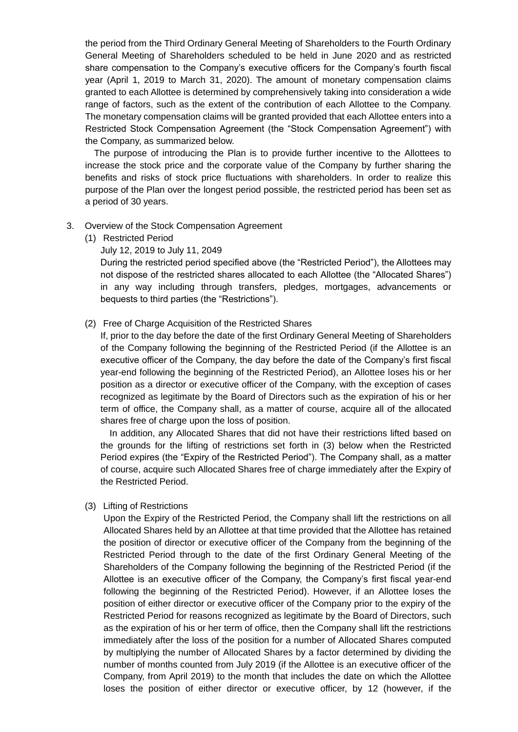the period from the Third Ordinary General Meeting of Shareholders to the Fourth Ordinary General Meeting of Shareholders scheduled to be held in June 2020 and as restricted share compensation to the Company's executive officers for the Company's fourth fiscal year (April 1, 2019 to March 31, 2020). The amount of monetary compensation claims granted to each Allottee is determined by comprehensively taking into consideration a wide range of factors, such as the extent of the contribution of each Allottee to the Company. The monetary compensation claims will be granted provided that each Allottee enters into a Restricted Stock Compensation Agreement (the "Stock Compensation Agreement") with the Company, as summarized below.

The purpose of introducing the Plan is to provide further incentive to the Allottees to increase the stock price and the corporate value of the Company by further sharing the benefits and risks of stock price fluctuations with shareholders. In order to realize this purpose of the Plan over the longest period possible, the restricted period has been set as a period of 30 years.

## 3. Overview of the Stock Compensation Agreement

(1) Restricted Period

July 12, 2019 to July 11, 2049

During the restricted period specified above (the "Restricted Period"), the Allottees may not dispose of the restricted shares allocated to each Allottee (the "Allocated Shares") in any way including through transfers, pledges, mortgages, advancements or bequests to third parties (the "Restrictions").

## (2) Free of Charge Acquisition of the Restricted Shares

If, prior to the day before the date of the first Ordinary General Meeting of Shareholders of the Company following the beginning of the Restricted Period (if the Allottee is an executive officer of the Company, the day before the date of the Company's first fiscal year-end following the beginning of the Restricted Period), an Allottee loses his or her position as a director or executive officer of the Company, with the exception of cases recognized as legitimate by the Board of Directors such as the expiration of his or her term of office, the Company shall, as a matter of course, acquire all of the allocated shares free of charge upon the loss of position.

In addition, any Allocated Shares that did not have their restrictions lifted based on the grounds for the lifting of restrictions set forth in (3) below when the Restricted Period expires (the "Expiry of the Restricted Period"). The Company shall, as a matter of course, acquire such Allocated Shares free of charge immediately after the Expiry of the Restricted Period.

## (3) Lifting of Restrictions

Upon the Expiry of the Restricted Period, the Company shall lift the restrictions on all Allocated Shares held by an Allottee at that time provided that the Allottee has retained the position of director or executive officer of the Company from the beginning of the Restricted Period through to the date of the first Ordinary General Meeting of the Shareholders of the Company following the beginning of the Restricted Period (if the Allottee is an executive officer of the Company, the Company's first fiscal year-end following the beginning of the Restricted Period). However, if an Allottee loses the position of either director or executive officer of the Company prior to the expiry of the Restricted Period for reasons recognized as legitimate by the Board of Directors, such as the expiration of his or her term of office, then the Company shall lift the restrictions immediately after the loss of the position for a number of Allocated Shares computed by multiplying the number of Allocated Shares by a factor determined by dividing the number of months counted from July 2019 (if the Allottee is an executive officer of the Company, from April 2019) to the month that includes the date on which the Allottee loses the position of either director or executive officer, by 12 (however, if the